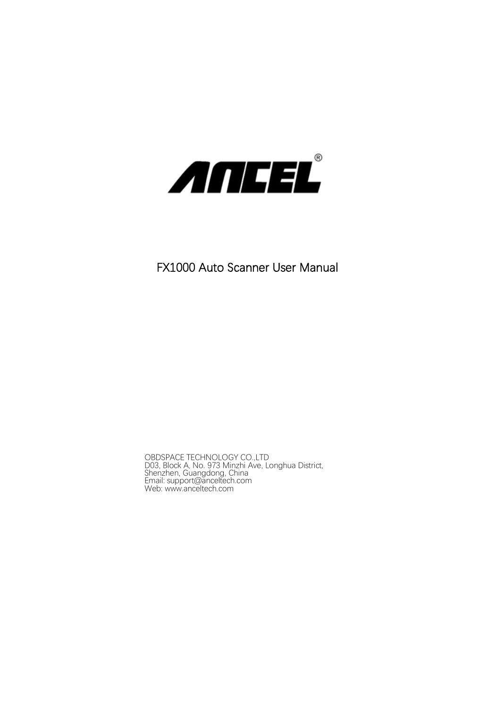

## FX1000 Auto Scanner User Manual

OBDSPACE TECHNOLOGY CO.,LTD<br>D03, Block A, No. 973 Minzhi Ave, Longhua District,<br>Shenzhen, Guangdong, China<br>Email: [support@anceltech.com](mailto:support@anceltech.com)<br>Web: [www.anceltech.com](http://www.anceltech.com/)<br>Web: www.anceltech.com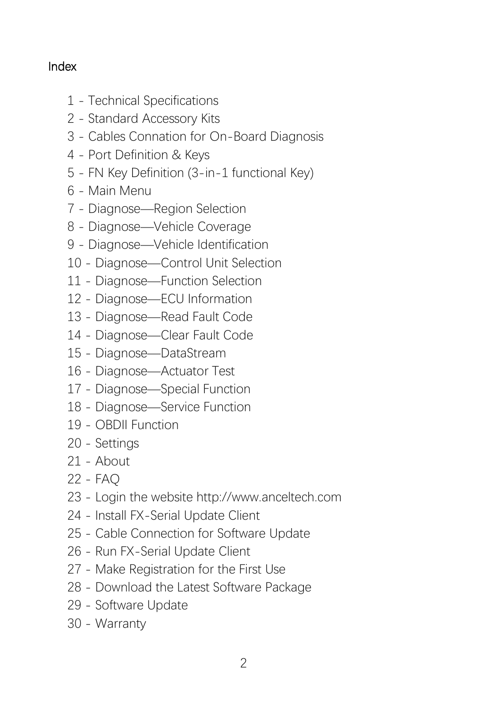## Index

- Technical Specifications
- Standard Accessory Kits
- Cables Connation for On-Board Diagnosis
- Port Definition & Keys
- FN Key Definition (3-in-1 functional Key)
- Main Menu
- Diagnose—Region Selection
- Diagnose—Vehicle Coverage
- Diagnose—Vehicle Identification
- Diagnose—Control Unit Selection
- Diagnose—Function Selection
- Diagnose—ECU Information
- Diagnose—Read Fault Code
- Diagnose—Clear Fault Code
- Diagnose—DataStream
- Diagnose—Actuator Test
- Diagnose—Special Function
- Diagnose—Service Function
- OBDII Function
- Settings
- About
- FAQ
- Login the website http://www.anceltech.com
- Install FX-Serial Update Client
- Cable Connection for Software Update
- Run FX-Serial Update Client
- Make Registration for the First Use
- Download the Latest Software Package
- Software Update
- Warranty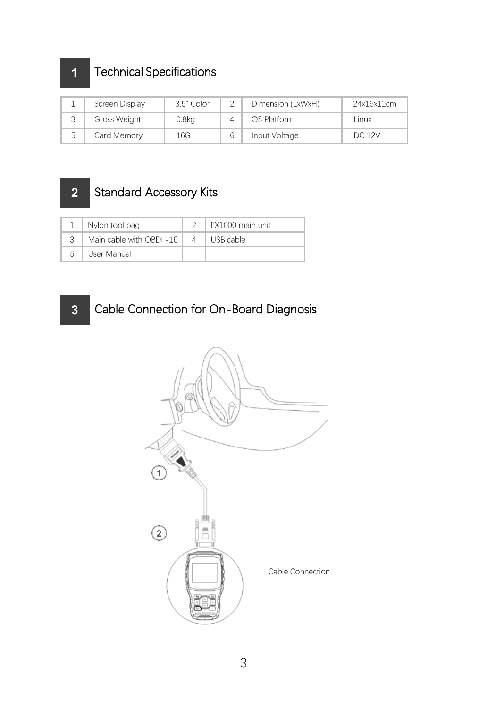## Technical Specifications

| -      | Screen Display | 3.5" Color | $\overline{\phantom{a}}$ | Dimension (LxWxH) | 24x16x11cm    |  |
|--------|----------------|------------|--------------------------|-------------------|---------------|--|
| $\sim$ | Gross Weight   | $0.8k$ a   |                          | OS Platform       | Linux         |  |
| c.     | Card Memorv    | 16G        |                          | Input Voltage     | <b>DC 12V</b> |  |

## Standard Accessory Kits

|   | Nylon tool bag           |           | FX1000 main unit |
|---|--------------------------|-----------|------------------|
|   | Main cable with OBDII-16 | $\Lambda$ | USB cable        |
| 5 | User Manual              |           |                  |

## Cable Connection for On-Board Diagnosis

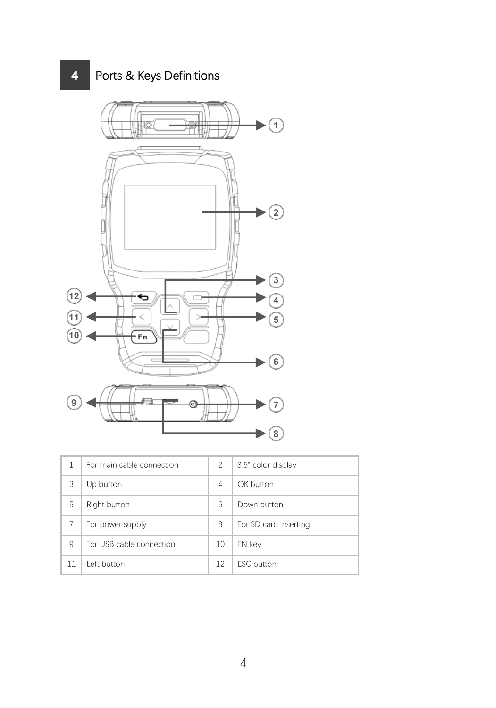Ports & Keys Definitions



|    | For main cable connection | $\overline{\phantom{a}}$ | 3.5" color display    |
|----|---------------------------|--------------------------|-----------------------|
| 3  | Up button                 | 4                        | OK button             |
| 5  | Right button              | 6                        | Down button           |
| 7  | For power supply          | 8                        | For SD card inserting |
| 9  | For USB cable connection  | 10                       | FN kev                |
| 11 | l eft button              | 12                       | <b>FSC</b> button     |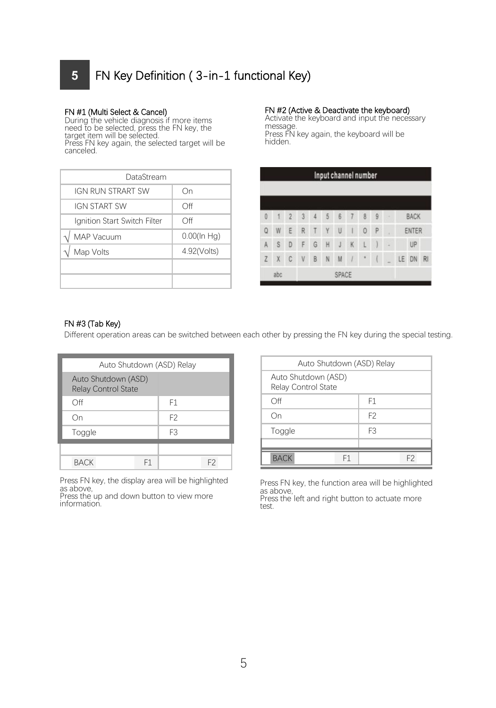## **5** FN Key Definition ( 3-in-1 functional Key)

**FN #1 (Multi Select & Cancel) During the vehicle diagnosis if more items of the FN are vehicle diagnosis the F**<br>During the vehicle diagnosis if more items of a message<br>message of FN key, the FN key, the message target item will be selected. Press FN ke<br>Press FN key again, the selected target will be hidden. canceled.

| DataStream                   |                |  |        |                |
|------------------------------|----------------|--|--------|----------------|
| IGN RUN STRART SW            | Οn             |  |        |                |
| <b>IGN START SW</b>          | Off            |  |        |                |
| Ignition Start Switch Filter | Off            |  |        | $\overline{2}$ |
| MAP Vacuum                   | $0.00$ (In Hg) |  | W      | ÷              |
| Map Volts                    | 4.92(Volts)    |  | S      | $\overline{D}$ |
|                              |                |  | $\chi$ | C              |
|                              |                |  |        |                |

FN #2 (Active & Deactivate the keyboard)<br>Activate the keyboard and input the necessary<br>message.<br>Press FN key again, the keyboard will be<br>hidden.

|                |     |                |   |                |   | Input channel number |    |          |    |   |    |             |           |
|----------------|-----|----------------|---|----------------|---|----------------------|----|----------|----|---|----|-------------|-----------|
|                |     |                |   |                |   |                      |    |          |    |   |    |             |           |
| ö              | Y)  | $\overline{2}$ | 3 | $\overline{4}$ | 5 | 6                    | 7  | 8        | 9. | ٠ |    | <b>BACK</b> |           |
| Q              | W   | Ε              | R | T              | Y | U                    | Ï  | $\Omega$ | Ф  | × |    | ENTER       |           |
| A              | S   | D              | F | G              | H | J                    | K  | L        | J  | ÷ |    | UP          |           |
| $\overline{z}$ | X   | C              | V | B              | N | M                    | V) | ٠        | Ï  |   | LE | DN          | <b>RI</b> |
|                | abc |                |   |                |   | SPACE                |    |          |    |   |    |             |           |

### FN #3 (Tab Key)

Different operation areas can be switched between each other by pressing the FN key during the special testing.

| Auto Shutdown (ASD) Relay                  |    |                |                |                    |
|--------------------------------------------|----|----------------|----------------|--------------------|
| Auto Shutdown (ASD)<br>Relay Control State |    |                |                | Auto Sh<br>Relay C |
| Off                                        |    | F1             |                | Off                |
| On                                         |    | F <sub>2</sub> |                | On                 |
| Toggle                                     |    | F <sub>3</sub> |                | Toggle             |
|                                            |    |                |                |                    |
| <b>BACK</b>                                | F1 |                | F <sub>2</sub> | <b>BACK</b>        |

Press FN key, the display area will be highlighted Press FN key, the function area will be highlighted

as above,<br>
Press the up and down button to view more<br>
information.

| Auto Shutdown (ASD) Relay                  |                |  |
|--------------------------------------------|----------------|--|
| Auto Shutdown (ASD)<br>Relay Control State |                |  |
| Off                                        | F1             |  |
| Οn                                         | F <sub>2</sub> |  |
| Toggle                                     | F3             |  |
|                                            |                |  |
| F1<br><b>BACK</b>                          | F <sub>2</sub> |  |

Press FN key, the display area will be highlighted<br>as above, Press For a state area will be assumed as a bove, Press the left and right button to actuate more<br>Information.<br>Information. test.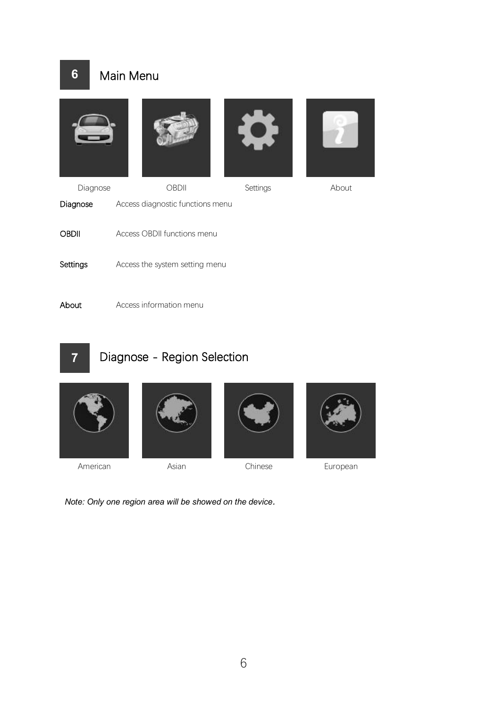## **6** Main Menu









Diagnose OBDII Settings About Diagnose Access diagnostic functions menu OBDII Access OBDII functions menu About Settings Access the system setting menu

About Access information menu

# **7**

## Diagnose - Region Selection









American Asian Chinese European

*Note: Only one region area will be showed on the device.*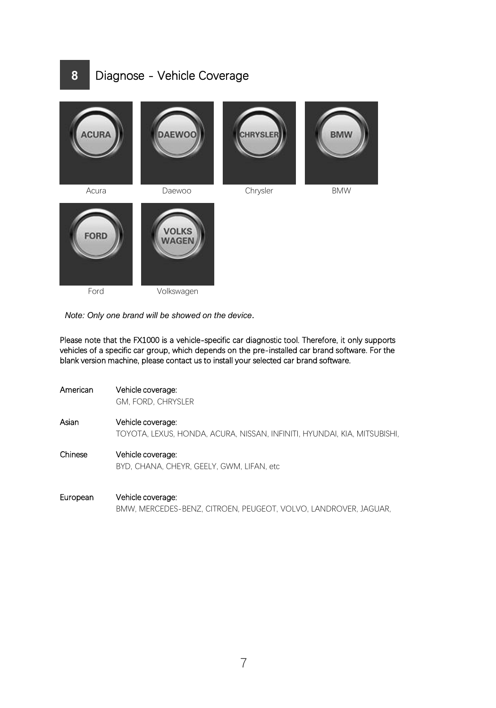## **8** Diagnose - Vehicle Coverage



Ford Volkswagen

*Note: Only one brand will be showed on the device.*

Please note that the FX1000 is a vehicle-specific car diagnostic tool. Therefore, it only supports vehicles of a specific car group, which depends on the pre-installed car brand software. For the blank version machine, please contact us to install your selected car brand software.

| American | Vehicle coverage:<br>GM, FORD, CHRYSLER                                                       |
|----------|-----------------------------------------------------------------------------------------------|
| Asian    | Vehicle coverage:<br>TOYOTA, LEXUS, HONDA, ACURA, NISSAN, INFINITI, HYUNDAI, KIA, MITSUBISHI, |
| Chinese  | Vehicle coverage:<br>BYD, CHANA, CHEYR, GEELY, GWM, LIFAN, etc.                               |

European Vehicle coverage: BMW, MERCEDES-BENZ, CITROEN, PEUGEOT, VOLVO, LANDROVER, JAGUAR,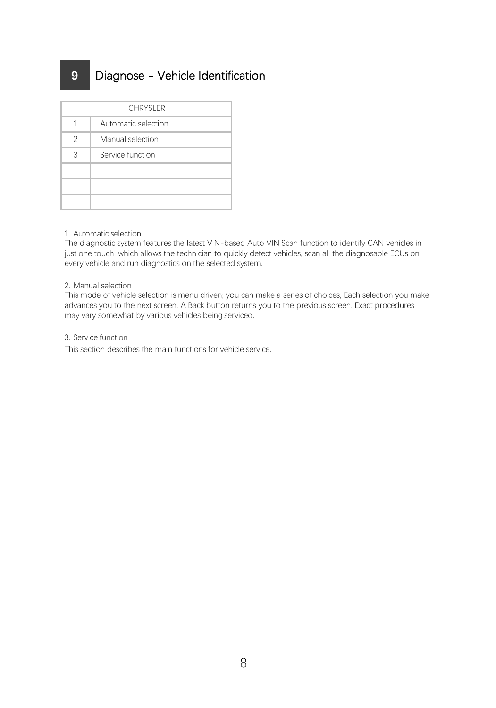## **9** Diagnose - Vehicle Identification

|                          | CHRYSI FR           |
|--------------------------|---------------------|
| 1                        | Automatic selection |
| $\overline{\phantom{a}}$ | Manual selection    |
| 3                        | Service function    |
|                          |                     |
|                          |                     |
|                          |                     |

#### 1. Automatic selection

The diagnostic system features the latest VIN-based Auto VIN Scan function to identify CAN vehicles in just one touch, which allows the technician to quickly detect vehicles, scan all the diagnosable ECUs on every vehicle and run diagnostics on the selected system.

#### 2. Manual selection

This mode of vehicle selection is menu driven; you can make a series of choices, Each selection you make advances you to the next screen. A Back button returns you to the previous screen.Exact procedures may vary somewhat by various vehicles being serviced.

#### 3. Service function

This section describes the main functions for vehicle service.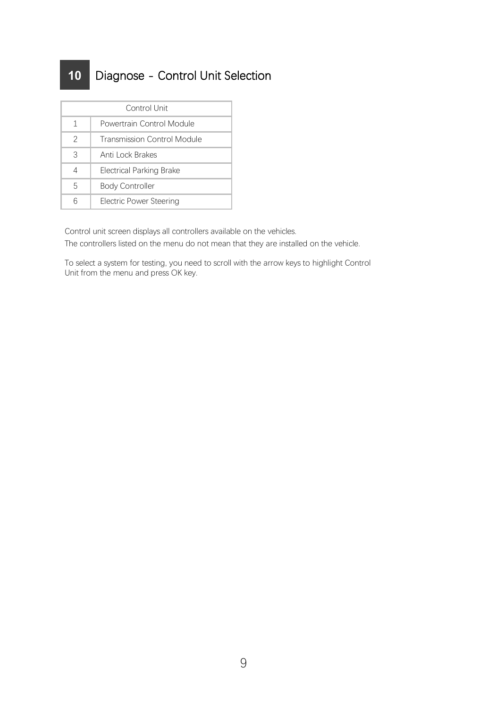## Diagnose - Control Unit Selection

| Control Unit             |                             |  |  |
|--------------------------|-----------------------------|--|--|
| 1                        | Powertrain Control Module   |  |  |
| $\overline{\phantom{a}}$ | Transmission Control Module |  |  |
| 3                        | Anti Lock Brakes            |  |  |
| $\overline{4}$           | Electrical Parking Brake    |  |  |
| 5                        | <b>Body Controller</b>      |  |  |
| 6                        | Electric Power Steering     |  |  |

Control unit screen displays all controllers available on the vehicles. The controllers listed on the menu do not mean that they are installed on the vehicle.

To select a system for testing, you need to scroll with the arrow keys to highlight Control Unit from the menu and press OK key.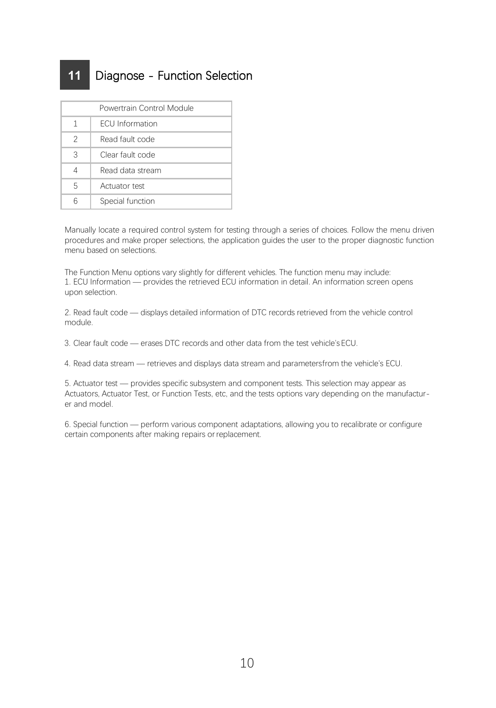## **11** Diagnose - Function Selection

| Powertrain Control Module |                        |  |  |  |
|---------------------------|------------------------|--|--|--|
| 1                         | <b>FCU</b> Information |  |  |  |
| $\overline{\phantom{a}}$  | Read fault code        |  |  |  |
| 3                         | Clear fault code       |  |  |  |
| 4                         | Read data stream       |  |  |  |
| 5                         | Actuator test          |  |  |  |
| 6                         | Special function       |  |  |  |

Manually locate a required control system for testing through aseries of choices. Follow the menu driven procedures and make proper selections, the application guides the user to the proper diagnostic function menu based on selections.

The Function Menu options vary slightly for different vehicles. The function menu may include: 1. ECU Information — provides the retrieved ECU information in detail. An information screen opensupon selection.

2. Read fault code — displays detailed information of DTC records retrieved from the vehicle control module.

3. Clear fault code — erases DTC records and otherdata from the test vehicle's ECU.

4. Read data stream — retrieves and displays data stream and parametersfrom the vehicle's ECU.

5. Actuator test - provides specific subsystem and component tests. This selection may appear as Actuators, Actuator Test, or Function Tests, etc, and the tests options vary depending on the manufacturer and model.

6. Special function — perform various component adaptations, allowing you to recalibrate or configure certain components after making repairs orreplacement.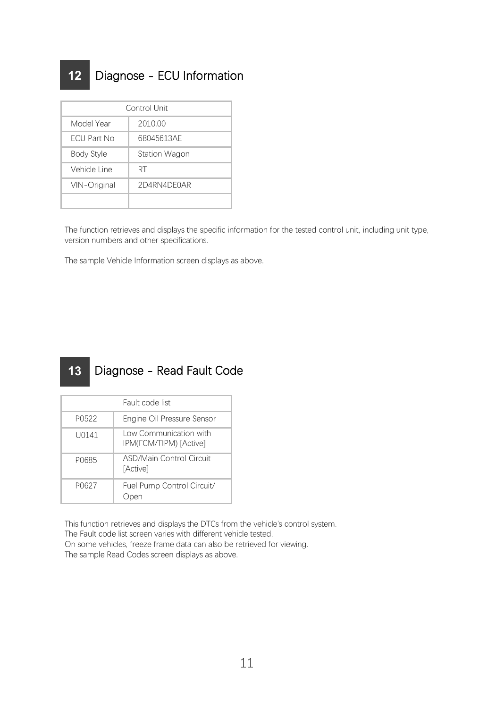## **12** Diagnose - ECU Information

|              | Control Unit  |  |  |  |  |  |
|--------------|---------------|--|--|--|--|--|
| Model Year   | 2010.00       |  |  |  |  |  |
| FCU Part No  | 68045613AF    |  |  |  |  |  |
| Body Style   | Station Wagon |  |  |  |  |  |
| Vehicle Line | RT            |  |  |  |  |  |
| VIN-Original | 2D4RN4DF0AR   |  |  |  |  |  |
|              |               |  |  |  |  |  |

The function retrieves and displays the specific information for the tested control unit, including unit type, version numbers and other specifications.

The sample Vehicle Information screen displays as above.

#### Diagnose - Read Fault Code **13**

|       | Fault code list                                  |
|-------|--------------------------------------------------|
| P0522 | Engine Oil Pressure Sensor                       |
| U0141 | Low Communication with<br>IPM(FCM/TIPM) [Active] |
| P0685 | ASD/Main Control Circuit<br>[Active]             |
| P0627 | Fuel Pump Control Circuit/<br>Open               |

This function retrieves and displays the DTCs from the vehicle's control system. The Fault code list screen varies with different vehicle tested.

On some vehicles, freeze frame data can also be retrieved for viewing. The sample Read Codes screen displays as above.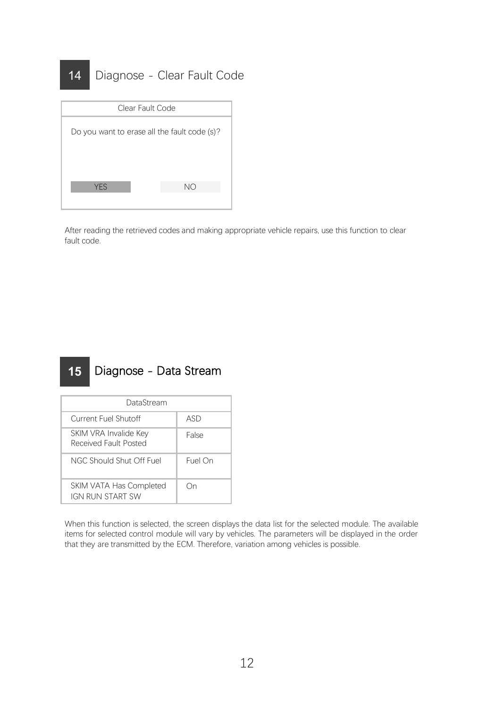## 14 Diagnose - Clear Fault Code



After reading the retrieved codes and making appropriate vehicle repairs, use this function to clear fault code.

#### Diagnose - Data Stream **15**

| DataStream                                     |         |  |
|------------------------------------------------|---------|--|
| Current Fuel Shutoff                           | ASD     |  |
| SKIM VRA Invalide Kev<br>Received Fault Posted | False   |  |
| NGC Should Shut Off Fuel                       | Fuel On |  |
| SKIM VATA Has Completed<br>IGN RUN START SW    | Ωn      |  |

When this function is selected, the screen displays the data list for the selected module. The available items for selected control module will vary by vehicles. The parameters will be displayed in the order that they are transmitted by the ECM. Therefore, variation among vehicles is possible.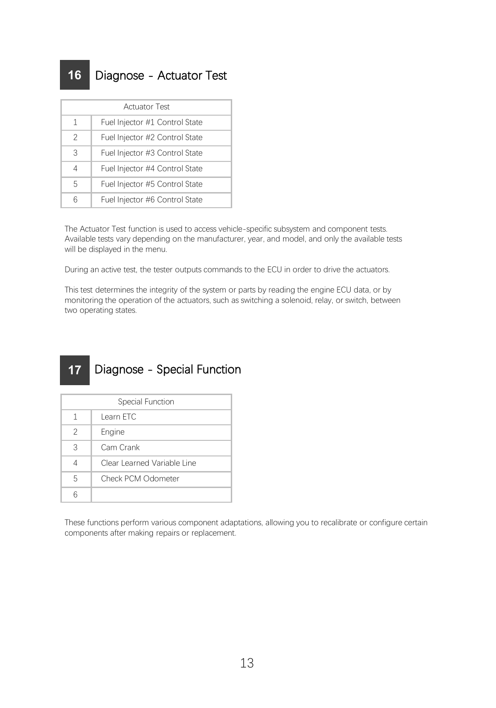## **16** Diagnose - Actuator Test

| <b>Actuator Test</b>     |                                |  |
|--------------------------|--------------------------------|--|
| 1                        | Fuel Injector #1 Control State |  |
| $\overline{\phantom{a}}$ | Fuel Injector #2 Control State |  |
| 3                        | Fuel Injector #3 Control State |  |
| 4                        | Fuel Injector #4 Control State |  |
| 5                        | Fuel Injector #5 Control State |  |
| 6                        | Fuel Injector #6 Control State |  |

The Actuator Test function is used to access vehicle-specific subsystem and component tests. Available tests vary depending on the manufacturer, year, and model, and onlythe available tests will be displayed in the menu.

During an active test, the tester outputs commands to the ECU in order to drive the actuators.

This test determines the integrity of the system or parts by reading the engine ECU data, or by monitoring the operation of the actuators, such as switching a solenoid, relay, or switch, between two operating states.

#### Diagnose - Special Function **17**

| Special Function         |                             |  |
|--------------------------|-----------------------------|--|
| 1                        | Learn FTC                   |  |
| $\overline{\phantom{a}}$ | Engine                      |  |
| 3                        | Cam Crank                   |  |
| 4                        | Clear Learned Variable Line |  |
| 5                        | Check PCM Odometer          |  |
| ĥ                        |                             |  |

These functions perform various component adaptations, allowing you to recalibrate or configure certain components after making repairs or replacement.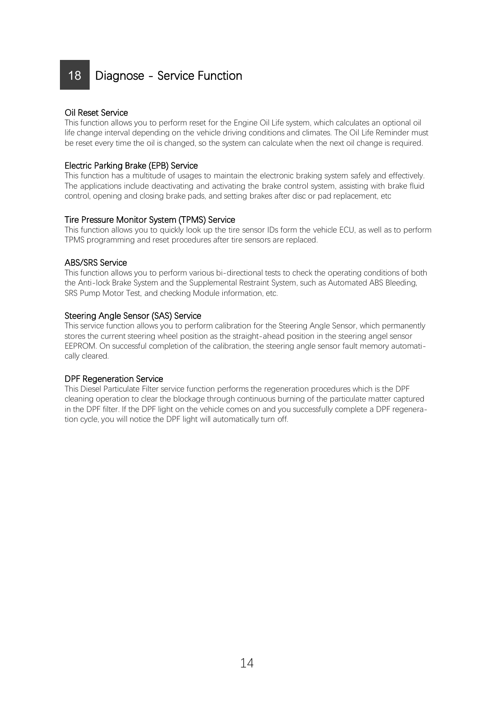## 18 Diagnose - Service Function

#### Oil Reset Service

This function allowsyou to perform reset for the Engine Oil Life system, which calculates an optional oil life change interval depending on the vehicle driving conditions and climates. The Oil Life Reminder must be reset every time the oil ischanged, so the system can calculate when the next oil change is required.

#### Electric Parking Brake (EPB) Service

This function has a multitude of usages to maintain the electronic braking system safely and effectively. The applications include deactivating and activating the brake control system, assisting with brake fluid control, opening and closing brake pads, and setting brakes after disc or pad replacement, etc

#### Tire Pressure Monitor System (TPMS) Service

This function allows you to quickly look up the tire sensor IDs form the vehicle ECU, as well as to perform TPMS programming and reset procedures after tire sensors are replaced.

#### ABS/SRS Service

This function allowsyou to perform various bi-directional tests to check the operating conditions of both the Anti-lock Brake System and the Supplemental Restraint System, such as Automated ABS Bleeding, SRS Pump Motor Test, and checking Module information, etc.

### Steering Angle Sensor (SAS) Service

This service function allowsyou to perform calibration for the Steering Angle Sensor, which permanently stores the current steering wheel position as the straight-ahead position in the steering angel sensor EEPROM. On successful completion of the calibration, the steering angle sensor fault memory automatically cleared.

#### DPF Regeneration Service

This Diesel Particulate Filter service function performs the regeneration procedures which is the DPF cleaning operation to clear the blockage through continuous burning of the particulate matter captured in the DPF filter. If the DPF light on the vehicle comes on and you successfully complete a DPF regeneration cycle, you will notice the DPF light will automatically turn off.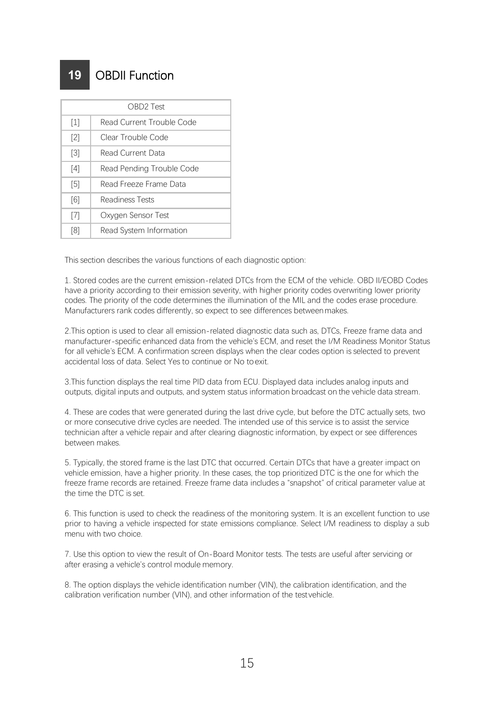## **19** OBDII Function

|                   | OBD <sub>2</sub> Test     |
|-------------------|---------------------------|
|                   | Read Current Trouble Code |
| [2]               | Clear Trouble Code        |
| $\lceil 3 \rceil$ | Read Current Data         |
| [4]               | Read Pending Trouble Code |
| [5]               | Read Freeze Frame Data    |
| [6]               | Readiness Tests           |
| $^{[7]}$          | Oxvaen Sensor Test        |
| [8]               | Read System Information   |

This section describes the various functions of each diagnostic option:

1. Stored codes are the current emission-related DTCs from the ECM of the vehicle. OBD II/EOBD Codes have a priority according to their emission severity, with higher priority codes overwriting lower priority codes. The priority of the code determines the illumination of the MIL and the codes erase procedure. Manufacturers rank codes differently, so expect to see differences betweenmakes.

2.This option is used to clear all emission-related diagnostic data such as, DTCs, Freeze frame data and manufacturer-specific enhanced data from the vehicle's ECM, and reset the I/M Readiness Monitor Status for all vehicle's ECM. A confirmation screen displays when the clear codes option is selected to prevent accidental loss of data. Select Yes to continue or No toexit.

3.This function displays the real time PID data from ECU. Displayed data includes analog inputs and<br>outputs, digital inputs and outputs, and system status information broadcast on the vehicle data stream.

4. These are codes that were generated during the last drive cycle, but before the DTC actually sets, two or more consecutive drive cycles are needed. The intended use of this service is to assist the service technician after a vehicle repair and after clearing diagnostic information, by expect or see differences between makes.

5. Typically, the stored frame is the last DTC that occurred. Certain DTCs that have a greater impact on vehicle emission, have a higher priority. In these cases, the top prioritized DTC is the one forwhich the freeze frame records are retained. Freeze frame data includes a "snapshot" of critical parameter value at the time the DTC is set.

6. This function is used to check the readiness of the monitoring system. It is an excellent function to use prior to having a vehicle inspected for state emissions compliance. Select I/M readiness to display a sub menu with two choice.

7. Use this option to view the result of On-Board Monitor tests. The tests are useful after servicing or after erasing a vehicle's control module memory.

8. The option displays the vehicle identification number (VIN), the calibration identification, and the calibration verification number (VIN), and other information of the testvehicle.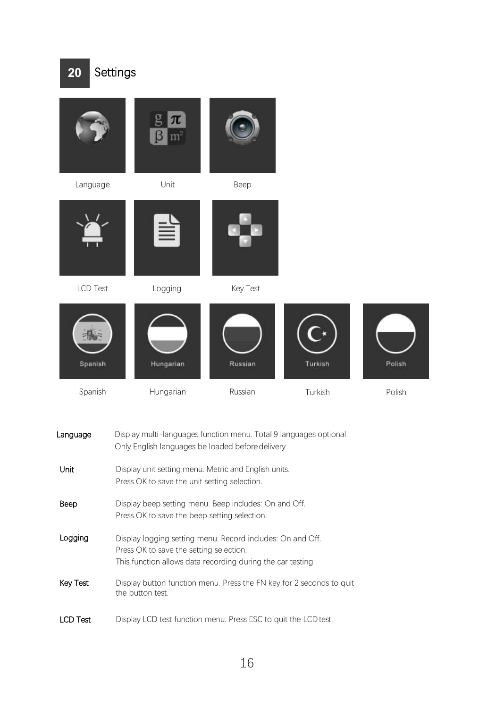

| Language        | Display multi-languages function menu. Total 9 languages optional.<br>Only English languages be loaded before delivery                                               |
|-----------------|----------------------------------------------------------------------------------------------------------------------------------------------------------------------|
| Unit            | Display unit setting menu. Metric and English units.<br>Press OK to save the unit setting selection.                                                                 |
| Beep            | Display beep setting menu. Beep includes: On and Off.<br>Press OK to save the beep setting selection.                                                                |
| Logging         | Display logging setting menu. Record includes: On and Off.<br>Press OK to save the setting selection.<br>This function allows data recording during the car testing. |
| Key Test        | Display button function menu. Press the FN key for 2 seconds to quit<br>the button test.                                                                             |
| <b>LCD Test</b> | Display LCD test function menu. Press ESC to quit the LCD test.                                                                                                      |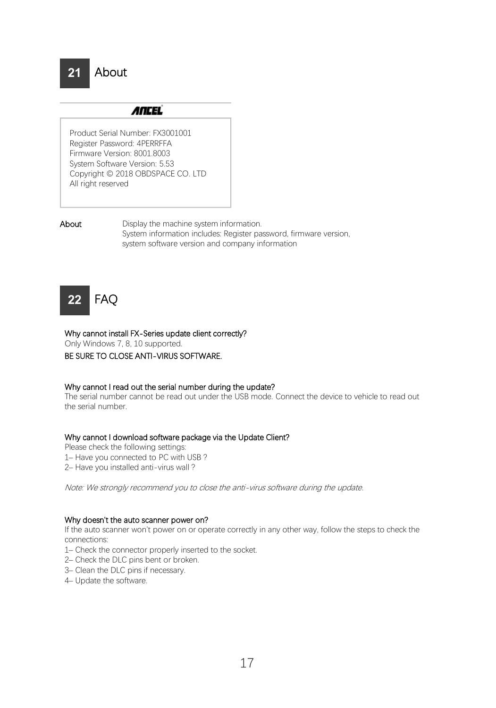# About

## **ANCEL**

Product Serial Number: FX3001001 Register Password: 4PERRFFA Firmware Version: 8001.8003 System Software Version: 5.53 Copyright © 2018 OBDSPACE CO. LTD All right reserved

**21**

About Display the machine system information. System information includes: Register password, firmware version, system software version and company information

## FAQ **22**

#### Why cannot install FX-Series update client correctly?

Only Windows 7, 8, 10 supported.

# BE SURE TO CLOSE ANTI-VIRUS SOFTWARE.<br>Why cannot I read out the serial number during the update?

The serial number cannot be read out underthe USB mode. Connect the device to vehicle to read out the serial number.

#### Why cannot I download software package via the Update Client?

Please check the following settings:

- 1– Have you connected to PC with USB ?
- 2– Have you installed anti-virus wall ?

Note: We strongly recommend you to close the anti-virus software during the update.

#### Why doesn't the auto scanner power on?

If the auto scanner won't power on or operate correctly in any other way, follow the steps to check the connections:

- 1– Check the connector properly inserted to the socket.
- 2– Check the DLC pins bent or broken.
- 3– Clean the DLC pins if necessary.
- 4– Update the software.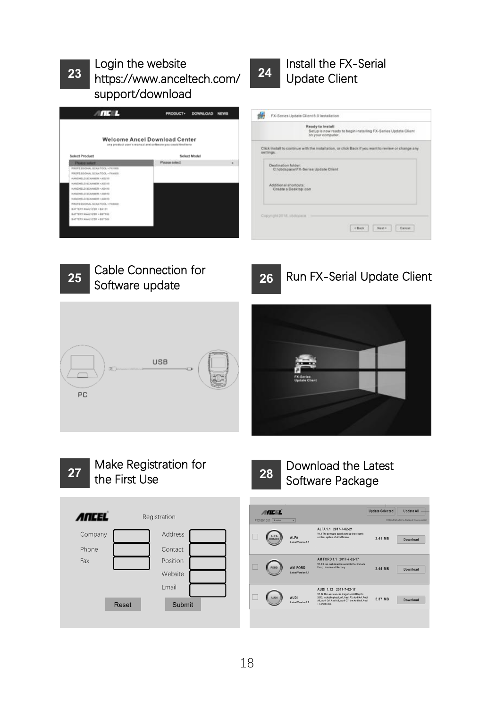## Login the website  $\sqrt{\frac{24}{24}}$ https://[www.anceltech.com/](http://www.anceltech.com/) **23 24**support/download











# Download the Latest

**Vodate Selected Undate All** 

CONTRADICTORIUM

2.41 MB Download

2.44 MB Download

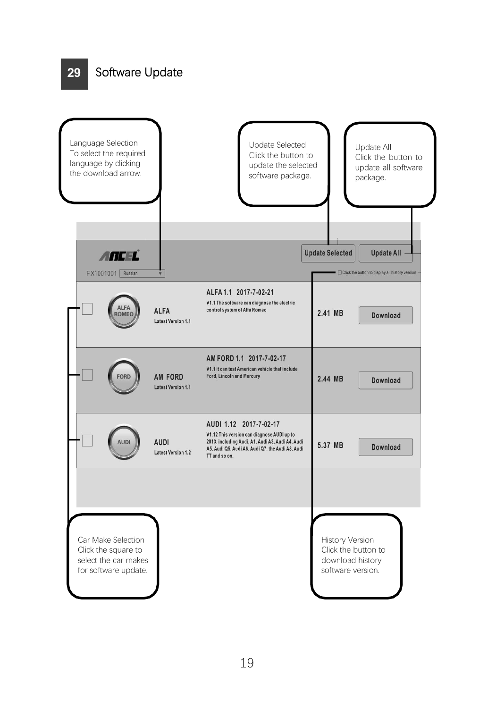## **29** Software Update